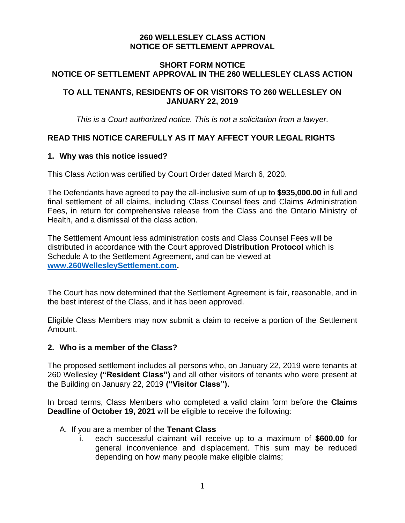# **260 WELLESLEY CLASS ACTION NOTICE OF SETTLEMENT APPROVAL**

### **SHORT FORM NOTICE NOTICE OF SETTLEMENT APPROVAL IN THE 260 WELLESLEY CLASS ACTION**

# **TO ALL TENANTS, RESIDENTS OF OR VISITORS TO 260 WELLESLEY ON JANUARY 22, 2019**

*This is a Court authorized notice. This is not a solicitation from a lawyer.*

# **READ THIS NOTICE CAREFULLY AS IT MAY AFFECT YOUR LEGAL RIGHTS**

### **1. Why was this notice issued?**

This Class Action was certified by Court Order dated March 6, 2020.

The Defendants have agreed to pay the all-inclusive sum of up to **\$935,000.00** in full and final settlement of all claims, including Class Counsel fees and Claims Administration Fees, in return for comprehensive release from the Class and the Ontario Ministry of Health, and a dismissal of the class action.

The Settlement Amount less administration costs and Class Counsel Fees will be distributed in accordance with the Court approved **Distribution Protocol** which is Schedule A to the Settlement Agreement, and can be viewed at **[www.260WellesleySettlement.com.](http://www.260wellesleysettlement.com/)**

The Court has now determined that the Settlement Agreement is fair, reasonable, and in the best interest of the Class, and it has been approved.

Eligible Class Members may now submit a claim to receive a portion of the Settlement Amount.

#### **2. Who is a member of the Class?**

The proposed settlement includes all persons who, on January 22, 2019 were tenants at 260 Wellesley **("Resident Class")** and all other visitors of tenants who were present at the Building on January 22, 2019 **("Visitor Class").**

In broad terms, Class Members who completed a valid claim form before the **Claims Deadline** of **October 19, 2021** will be eligible to receive the following:

### A. If you are a member of the **Tenant Class**

i. each successful claimant will receive up to a maximum of **\$600.00** for general inconvenience and displacement. This sum may be reduced depending on how many people make eligible claims;